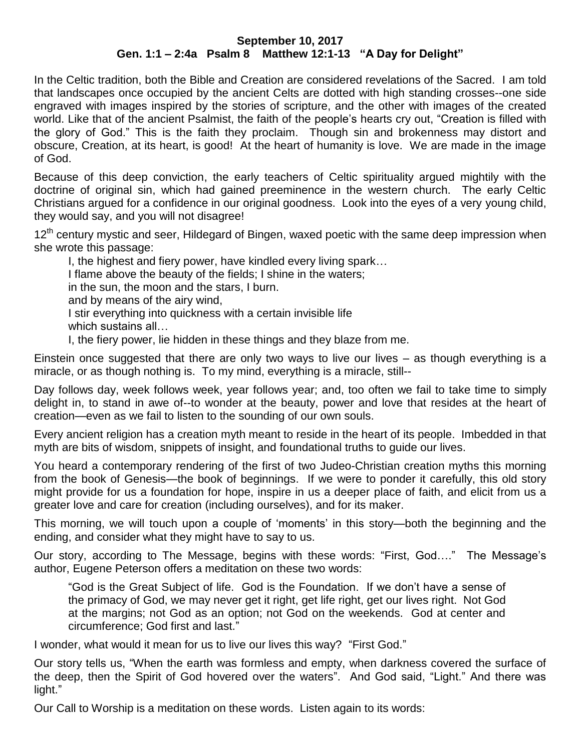## **September 10, 2017 Gen. 1:1 – 2:4a Psalm 8 Matthew 12:1-13 "A Day for Delight"**

In the Celtic tradition, both the Bible and Creation are considered revelations of the Sacred. I am told that landscapes once occupied by the ancient Celts are dotted with high standing crosses--one side engraved with images inspired by the stories of scripture, and the other with images of the created world. Like that of the ancient Psalmist, the faith of the people's hearts cry out, "Creation is filled with the glory of God." This is the faith they proclaim. Though sin and brokenness may distort and obscure, Creation, at its heart, is good! At the heart of humanity is love. We are made in the image of God.

Because of this deep conviction, the early teachers of Celtic spirituality argued mightily with the doctrine of original sin, which had gained preeminence in the western church. The early Celtic Christians argued for a confidence in our original goodness. Look into the eyes of a very young child, they would say, and you will not disagree!

12<sup>th</sup> century mystic and seer, Hildegard of Bingen, waxed poetic with the same deep impression when she wrote this passage:

I, the highest and fiery power, have kindled every living spark… I flame above the beauty of the fields; I shine in the waters; in the sun, the moon and the stars, I burn. and by means of the airy wind, I stir everything into quickness with a certain invisible life which sustains all…

I, the fiery power, lie hidden in these things and they blaze from me.

Einstein once suggested that there are only two ways to live our lives – as though everything is a miracle, or as though nothing is. To my mind, everything is a miracle, still--

Day follows day, week follows week, year follows year; and, too often we fail to take time to simply delight in, to stand in awe of--to wonder at the beauty, power and love that resides at the heart of creation—even as we fail to listen to the sounding of our own souls.

Every ancient religion has a creation myth meant to reside in the heart of its people. Imbedded in that myth are bits of wisdom, snippets of insight, and foundational truths to guide our lives.

You heard a contemporary rendering of the first of two Judeo-Christian creation myths this morning from the book of Genesis—the book of beginnings. If we were to ponder it carefully, this old story might provide for us a foundation for hope, inspire in us a deeper place of faith, and elicit from us a greater love and care for creation (including ourselves), and for its maker.

This morning, we will touch upon a couple of 'moments' in this story—both the beginning and the ending, and consider what they might have to say to us.

Our story, according to The Message, begins with these words: "First, God…." The Message's author, Eugene Peterson offers a meditation on these two words:

"God is the Great Subject of life. God is the Foundation. If we don't have a sense of the primacy of God, we may never get it right, get life right, get our lives right. Not God at the margins; not God as an option; not God on the weekends. God at center and circumference; God first and last."

I wonder, what would it mean for us to live our lives this way? "First God."

Our story tells us, "When the earth was formless and empty, when darkness covered the surface of the deep, then the Spirit of God hovered over the waters". And God said, "Light." And there was light."

Our Call to Worship is a meditation on these words. Listen again to its words: